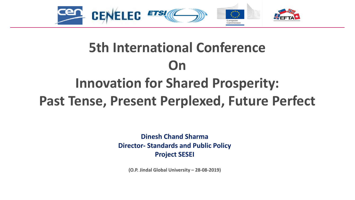

# **5th International Conference On Innovation for Shared Prosperity:**

**Past Tense, Present Perplexed, Future Perfect**

**Dinesh Chand Sharma Director- Standards and Public Policy Project SESEI**

**(O.P. Jindal Global University – 28-08-2019)**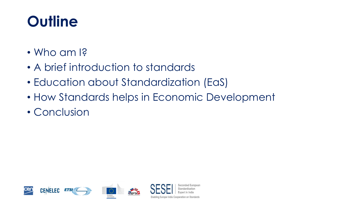# **Outline**

- Who am I?
- A brief introduction to standards
- Education about Standardization (EaS)
- How Standards helps in Economic Development
- Conclusion

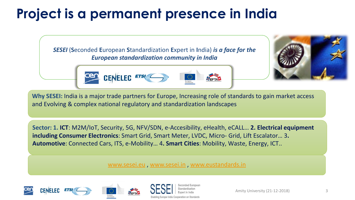# **Project is a permanent presence in India**

*SESEI* (**S**econded **E**uropean **S**tandardization **E**xpert in **I**ndia) *is a face for the European standardization community in India*





**Why SESEI:** India is a major trade partners for Europe, Increasing role of standards to gain market access and Evolving & complex national regulatory and standardization landscapes

**Sector: 1. ICT**: M2M/IoT, Security, 5G, NFV/SDN, e-Accesibility, eHealth, eCALL… **2. Electrical equipment including Consumer Electronics**: Smart Grid, Smart Meter, LVDC, Micro- Grid, Lift Escalator… 3**. Automotive**: Connected Cars, ITS, e-Mobility… 4**. Smart Cities**: Mobility, Waste, Energy, ICT..

#### [www.sesei.eu](http://www.sesei.eu/) , [www.sesei.in](http://www.sesei.in/) , [www.eustandards.in](http://www.eustandards.in/)





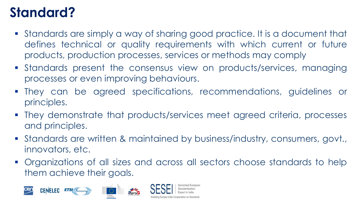# **Standard?**

- Standards are simply a way of sharing good practice. It is a document that defines technical or quality requirements with which current or future products, production processes, services or methods may comply
- **Example 13 Standards present the consensus view on products/services, managing** processes or even improving behaviours.
- They can be agreed specifications, recommendations, guidelines or principles.
- **They demonstrate that products/services meet agreed criteria, processes** and principles.
- Standards are written & maintained by business/industry, consumers, govt., innovators, etc.
- **Organizations of all sizes and across all sectors choose standards to help** them achieve their goals.

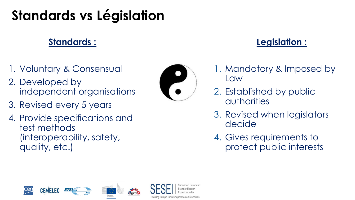# **Standards vs Législation**

### **Standards :**

- 1. Voluntary & Consensual
- 2. Developed by independent organisations
- 3. Revised every 5 years
- 4. Provide specifications and test methods (interoperability, safety, quality, etc.)



### **Legislation :**

- 1. Mandatory & Imposed by Law
- 2. Established by public authorities
- 3. Revised when legislators decide
- 4. Gives requirements to protect public interests

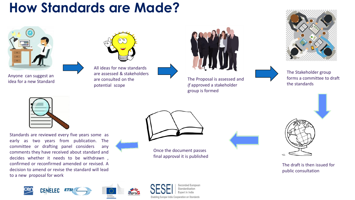## **How Standards are Made?**



Anyone can suggest an idea for a new Standard



All ideas for new standards are assessed & stakeholders are consulted on the potential scope



The Proposal is assessed and *if* approved a stakeholder group is formed





The Stakeholder group forms a committee to draft the standards



Standards are reviewed every five years some as early as two years from publication. The committee or drafting panel considers any comments they have received about standard and decides whether it needs to be withdrawn , confirmed or reconfirmed amended or revised. A decision to amend or revise the standard will lead to a new proposal for work



Once the document passes final approval it is published

> econded European tandardisation



The draft is then issued for public consultation

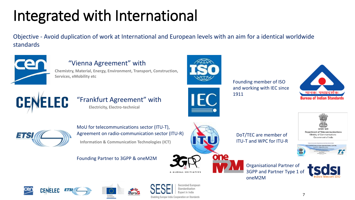# Integrated with International

Objective - Avoid duplication of work at International and European levels with an aim for a identical worldwide standards



### "Vienna Agreement" with

**Chemistry, Material, Energy, Environment, Transport, Construction, Services, eMobility etc**



Founding member of ISO and working with IEC since 1911





#### "Frankfurt Agreement" with **Electricity, Electro-technical**







MoU for telecommunications sector (ITU-T), Agreement on radio-communication sector (ITU-R) **Information & Communication Technologies (ICT)** 

Founding Partner to 3GPP & oneM2M



DoT/TEC are member of ITU-T and WPC for ITU-R





Organisational Partner of 3GPP and Partner Type 1 of oneM2M











econded European Enabling Europe-India Cooperation on Standards

A GLOBAL INITIATIVE

7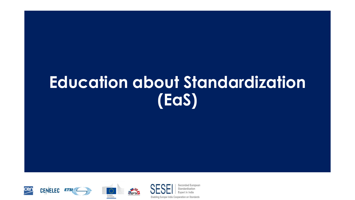# **Education about Standardization (EaS)**



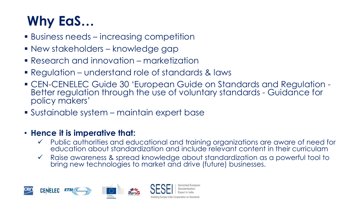# **Why EaS…**

- **E** Business needs increasing competition
- New stakeholders knowledge gap
- Research and innovation marketization
- Regulation understand role of standards & laws
- CEN-CENELEC Guide 30 'European Guide on Standards and Regulation Better regulation through the use of voluntary standards - Guidance for policy makers'
- Sustainable system maintain expert base

### • **Hence it is imperative that:**

- ✓ Public authorities and educational and training organizations are aware of need for education about standardization and include relevant content in their curriculam
- ✓ Raise awareness & spread knowledge about standardization as a powerful tool to bring new technologies to market and drive (future) businesses.

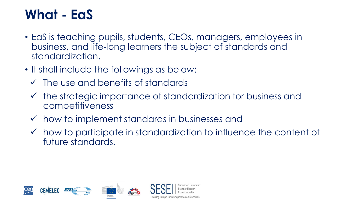## **What - EaS**

- EaS is teaching pupils, students, CEOs, managers, employees in business, and life-long learners the subject of standards and standardization.
- It shall include the followings as below:
	- $\checkmark$  The use and benefits of standards
	- ✓ the strategic importance of standardization for business and competitiveness
	- $\checkmark$  how to implement standards in businesses and
	- $\checkmark$  how to participate in standardization to influence the content of future standards.

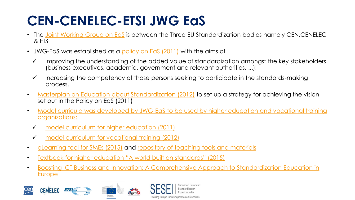# **CEN-CENELEC-ETSI JWG EaS**

- The [Joint Working Group on EaS](https://www.cencenelec.eu/standards/Education/JointWorkingGroup/Pages/default.aspx) is between the Three EU Standardization bodies namely CEN, CENELEC & ETSI
- JWG-EaS was established as a [policy on EaS](ftp://ftp.cencenelec.eu/EN/EuropeanStandardization/Education/Policy on EaS.pdf) [\(2011\)](ftp://ftp.cencenelec.eu/EN/EuropeanStandardization/Education/Policy on EaS.pdf) with the aims of
	- improving the understanding of the added value of standardization amongst the key stakeholders (business executives, academia, government and relevant authorities, ...);
	- increasing the competency of those persons seeking to participate in the standards-making process.
- [Masterplan on Education about Standardization \(2012\)](https://www.cencenelec.eu/standards/Education/JointWorkingGroup/Documents/Masterplan%20on%20Education%20about%20Standardization.pdf) to set up a strategy for achieving the vision set out in the Policy on EaS (2011)
- Model curricula was developed by JWG-EaS [to be used by higher education and vocational training](ftp://ftp.cencenelec.eu/CEN/Services/Education/Education/ModelCurriculumForEaS.pdf) organizations:
	- ✓ model curriculum for higher education (2011)
	- ✓ [model curriculum for vocational training \(2012\)](https://www.cencenelec.eu/standards/Education/JointWorkingGroup/Documents/ModelCurriculumForVocationalTraining.pdf)
- [eLearning tool for SMEs \(2015\)](https://www.cencenelec.eu/sme/eLearning/Pages/default.aspx) and [repository of teaching tools and materials](https://www.cencenelec.eu/standards/Education/Pages/repository.aspx)
- [Textbook for higher education](http://uni.ds.dk/~/media/DS/Files/Downloads/Uni/A-World-Built-on-Standards.pdf) "A world built on standards" (2015)
- [Boosting ICT Business and Innovation: A Comprehensive Approach to Standardization Education in](https://www.etsi.org/news-events/past-events/1275-2018-10-boosting-ict-business-and-innovation-a-comprehensive-approach-to-standardization-education)  Europe

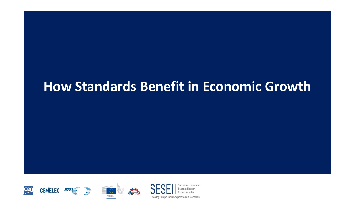### **How Standards Benefit in Economic Growth**



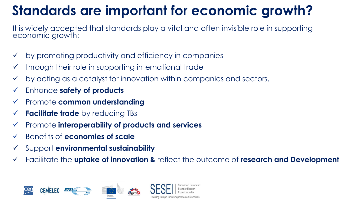# **Standards are important for economic growth?**

It is widely accepted that standards play a vital and often invisible role in supporting economic growth:

- $\checkmark$  by promoting productivity and efficiency in companies
- $\checkmark$  through their role in supporting international trade
- $\checkmark$  by acting as a catalyst for innovation within companies and sectors.
- ✓ Enhance **safety of products**
- ✓ Promote **common understanding**
- ✓ **Facilitate trade** by reducing TBs
- ✓ Promote **interoperability of products and services**
- ✓ Benefits of **economies of scale**
- ✓ Support **environmental sustainability**
- Facilitate the **uptake of innovation &** reflect the outcome of **research and Development**

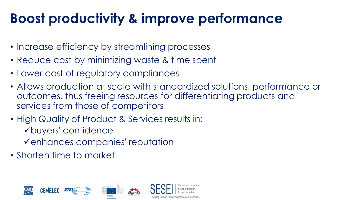# **Boost productivity & improve performance**

- Increase efficiency by streamlining processes
- Reduce cost by minimizing waste & time spent
- Lower cost of regulatory compliances
- Allows production at scale with standardized solutions, performance or outcomes, thus freeing resources for differentiating products and services from those of competitors
- High Quality of Product & Services results in: ✓buyers' confidence
	- ✓enhances companies' reputation
- Shorten time to market

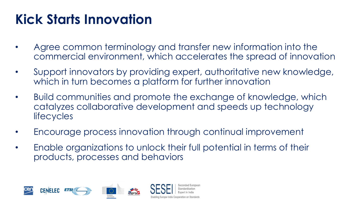# **Kick Starts Innovation**

- Agree common terminology and transfer new information into the commercial environment, which accelerates the spread of innovation
- Support innovators by providing expert, authoritative new knowledge, which in turn becomes a platform for further innovation
- Build communities and promote the exchange of knowledge, which catalyzes collaborative development and speeds up technology **lifecycles**
- Encourage process innovation through continual improvement
- Enable organizations to unlock their full potential in terms of their products, processes and behaviors

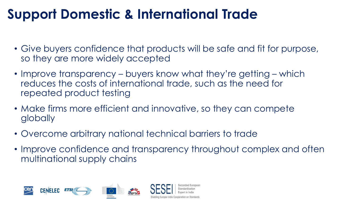# **Support Domestic & International Trade**

- Give buyers confidence that products will be safe and fit for purpose, so they are more widely accepted
- Improve transparency buyers know what they're getting which reduces the costs of international trade, such as the need for repeated product testing
- Make firms more efficient and innovative, so they can compete globally
- Overcome arbitrary national technical barriers to trade
- Improve confidence and transparency throughout complex and often multinational supply chains

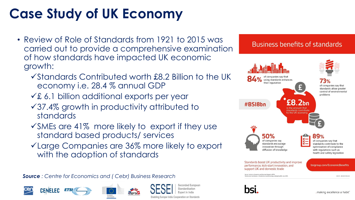# **Case Study of UK Economy**

- Review of Role of Standards from 1921 to 2015 was carried out to provide a comprehensive examination of how standards have impacted UK economic growth:
	- ✓Standards Contributed worth £8.2 Billion to the UK economy i.e. 28.4 % annual GDP
	- ✓£ 6.1 billion additional exports per year
	- ✓37.4% growth in productivity attributed to standards
	- $\sqrt{s}$ MEs are 41% more likely to export if they use standard based products/ services
	- ✓Large Companies are 36% more likely to export with the adoption of standards

*Source : Centre for Economics and ( Cebr) Business Research* 







econded European Enabling Europe-India Cooperation on Standards

#### **Business benefits of standards**

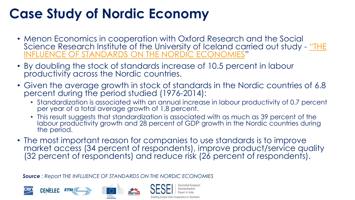## **Case Study of Nordic Economy**

- Menon Economics in cooperation with Oxford Research and the Social [Science Research Institute of the University of Iceland carried out study -](https://www.ds.dk/~/media/DS/Files/Downloads/publikationer/Standarders-indflydelse-paa-de-nordiske-oekonomier_2018.ashx) "THE INFLUENCE OF STANDARDS ON THE NORDIC ECONOMIES"
- By doubling the stock of standards increase of 10.5 percent in labour productivity across the Nordic countries.
- Given the average growth in stock of standards in the Nordic countries of 6.8 percent during the period studied (1976-2014):
	- Standardization is associated with an annual increase in labour productivity of 0.7 percent per year of a total average growth of 1,8 percent.
	- This result suggests that standardization is associated with as much as 39 percent of the labour productivity growth and 28 percent of GDP growth in the Nordic countries during the period.
- The most important reason for companies to use standards is to improve market access (34 percent of respondents), improve product/service quality (32 percent of respondents) and reduce risk (26 percent of respondents).

*Source : Report THE INFLUENCE OF STANDARDS ON THE NORDIC ECONOMIES*

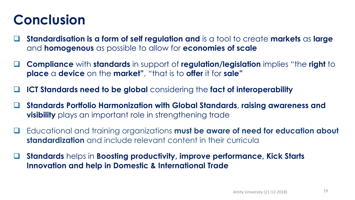# **Conclusion**

- ❑ **Standardisation is a form of self regulation and** is a tool to create **markets** as **large** and **homogenous** as possible to allow for **economies of scale**
- ❑ **Compliance** with **standards** in support of **regulation/legislation** implies "the **right** to **place** a **device** on the **market"**, "that is to **offer** it for **sale"**
- ❑ **ICT Standards need to be global** considering the **fact of interoperability**
- ❑ **Standards Portfolio Harmonization with Global Standards**, **raising awareness and visibility** plays an important role in strengthening trade
- ❑ Educational and training organizations **must be aware of need for education about standardization** and include relevant content in their curricula
- ❑ **Standards** helps in **Boosting productivity, improve performance, Kick Starts Innovation and help in Domestic & International Trade**